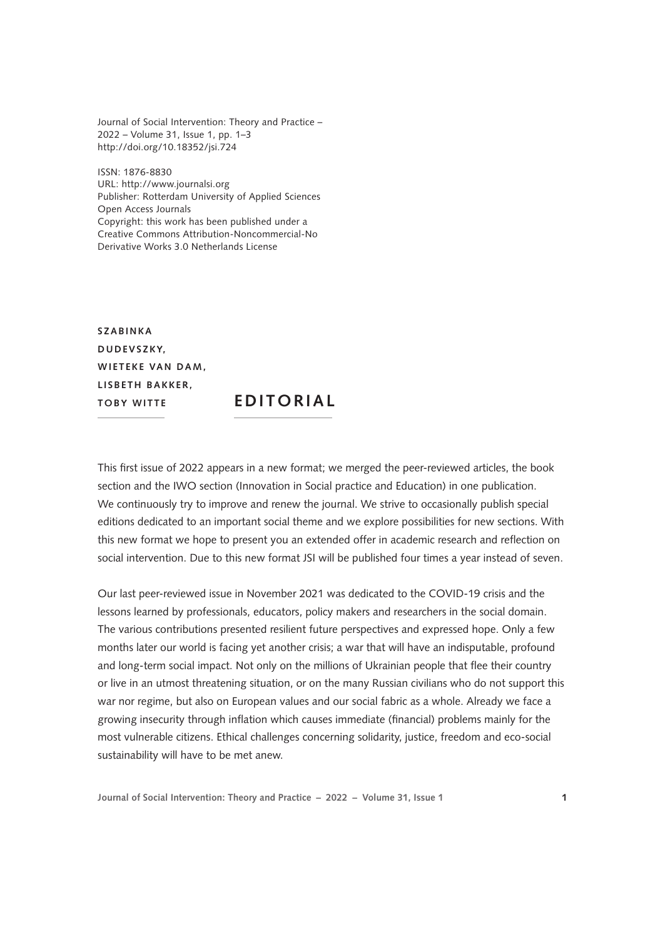Journal of Social Intervention: Theory and Practice – 2022 – Volume 31, Issue 1, pp. 1–3 <http://doi.org/10.18352/jsi.724>

ISSN: 1876-8830 URL:<http://www.journalsi.org> Publisher: Rotterdam University of Applied Sciences Open Access Journals Copyright: this work has been published under a Creative Commons Attribution-Noncommercial-No Derivative Works 3.0 Netherlands License

**Szabin k a D udevs z k y, WIETEKE VAN DAM.** LISBETH BAKKER, **Toby Witt <sup>e</sup> EDIT ORIAL**

This first issue of 2022 appears in a new format; we merged the peer-reviewed articles, the book section and the IWO section (Innovation in Social practice and Education) in one publication. We continuously try to improve and renew the journal. We strive to occasionally publish special editions dedicated to an important social theme and we explore possibilities for new sections. With this new format we hope to present you an extended offer in academic research and reflection on social intervention. Due to this new format JSI will be published four times a year instead of seven.

Our last peer-reviewed issue in November 2021 was dedicated to the COVID-19 crisis and the lessons learned by professionals, educators, policy makers and researchers in the social domain. The various contributions presented resilient future perspectives and expressed hope. Only a few months later our world is facing yet another crisis; a war that will have an indisputable, profound and long-term social impact. Not only on the millions of Ukrainian people that flee their country or live in an utmost threatening situation, or on the many Russian civilians who do not support this war nor regime, but also on European values and our social fabric as a whole. Already we face a growing insecurity through inflation which causes immediate (financial) problems mainly for the most vulnerable citizens. Ethical challenges concerning solidarity, justice, freedom and eco-social sustainability will have to be met anew.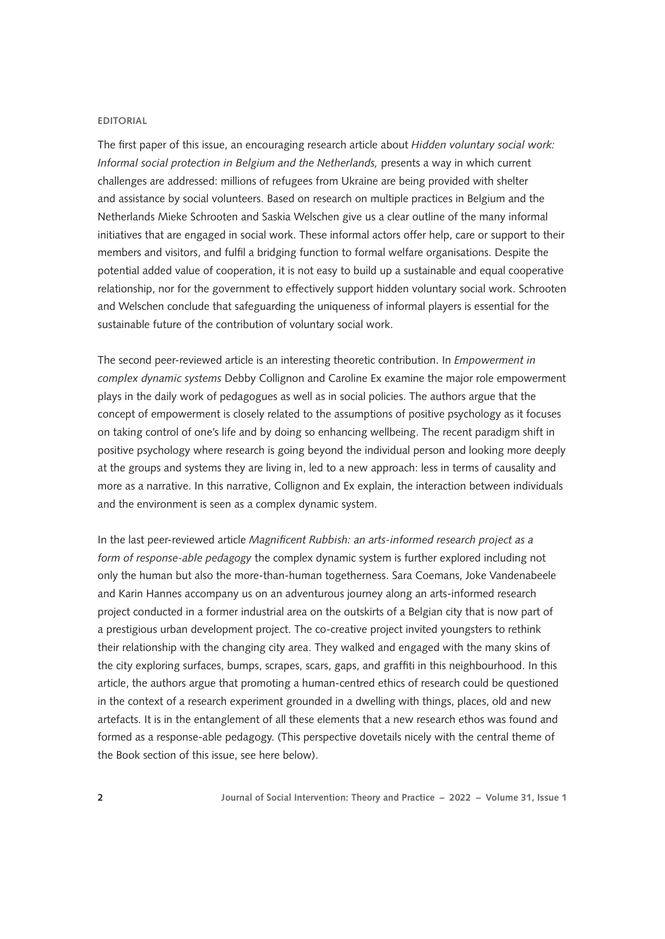## **EDITORIAL**

The first paper of this issue, an encouraging research article about *Hidden voluntary social work: Informal social protection in Belgium and the Netherlands,* presents a way in which current challenges are addressed: millions of refugees from Ukraine are being provided with shelter and assistance by social volunteers. Based on research on multiple practices in Belgium and the Netherlands Mieke Schrooten and Saskia Welschen give us a clear outline of the many informal initiatives that are engaged in social work. These informal actors offer help, care or support to their members and visitors, and fulfil a bridging function to formal welfare organisations. Despite the potential added value of cooperation, it is not easy to build up a sustainable and equal cooperative relationship, nor for the government to effectively support hidden voluntary social work. Schrooten and Welschen conclude that safeguarding the uniqueness of informal players is essential for the sustainable future of the contribution of voluntary social work.

The second peer-reviewed article is an interesting theoretic contribution. In *Empowerment in complex dynamic systems* Debby Collignon and Caroline Ex examine the major role empowerment plays in the daily work of pedagogues as well as in social policies. The authors argue that the concept of empowerment is closely related to the assumptions of positive psychology as it focuses on taking control of one's life and by doing so enhancing wellbeing. The recent paradigm shift in positive psychology where research is going beyond the individual person and looking more deeply at the groups and systems they are living in, led to a new approach: less in terms of causality and more as a narrative. In this narrative, Collignon and Ex explain, the interaction between individuals and the environment is seen as a complex dynamic system.

In the last peer-reviewed article *Magnificent Rubbish: an arts-informed research project as a form of response-able pedagogy* the complex dynamic system is further explored including not only the human but also the more-than-human togetherness. Sara Coemans, Joke Vandenabeele and Karin Hannes accompany us on an adventurous journey along an arts-informed research project conducted in a former industrial area on the outskirts of a Belgian city that is now part of a prestigious urban development project. The co-creative project invited youngsters to rethink their relationship with the changing city area. They walked and engaged with the many skins of the city exploring surfaces, bumps, scrapes, scars, gaps, and graffiti in this neighbourhood. In this article, the authors argue that promoting a human-centred ethics of research could be questioned in the context of a research experiment grounded in a dwelling with things, places, old and new artefacts. It is in the entanglement of all these elements that a new research ethos was found and formed as a response-able pedagogy. (This perspective dovetails nicely with the central theme of the Book section of this issue, see here below).